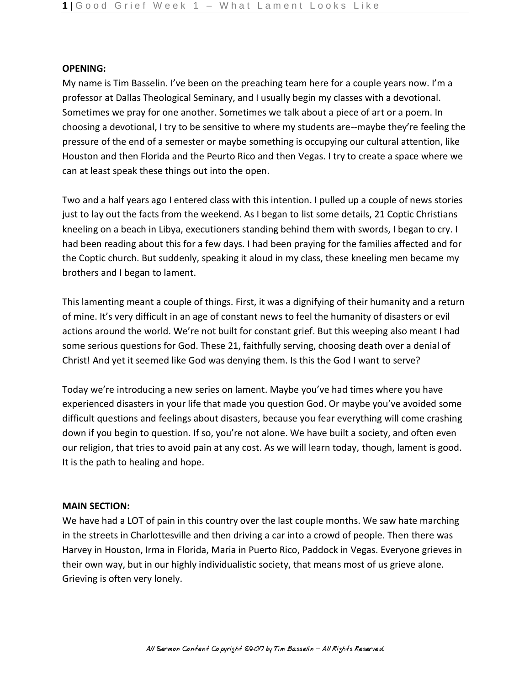#### **OPENING:**

My name is Tim Basselin. I've been on the preaching team here for a couple years now. I'm a professor at Dallas Theological Seminary, and I usually begin my classes with a devotional. Sometimes we pray for one another. Sometimes we talk about a piece of art or a poem. In choosing a devotional, I try to be sensitive to where my students are--maybe they're feeling the pressure of the end of a semester or maybe something is occupying our cultural attention, like Houston and then Florida and the Peurto Rico and then Vegas. I try to create a space where we can at least speak these things out into the open.

Two and a half years ago I entered class with this intention. I pulled up a couple of news stories just to lay out the facts from the weekend. As I began to list some details, 21 Coptic Christians kneeling on a beach in Libya, executioners standing behind them with swords, I began to cry. I had been reading about this for a few days. I had been praying for the families affected and for the Coptic church. But suddenly, speaking it aloud in my class, these kneeling men became my brothers and I began to lament.

This lamenting meant a couple of things. First, it was a dignifying of their humanity and a return of mine. It's very difficult in an age of constant news to feel the humanity of disasters or evil actions around the world. We're not built for constant grief. But this weeping also meant I had some serious questions for God. These 21, faithfully serving, choosing death over a denial of Christ! And yet it seemed like God was denying them. Is this the God I want to serve?

Today we're introducing a new series on lament. Maybe you've had times where you have experienced disasters in your life that made you question God. Or maybe you've avoided some difficult questions and feelings about disasters, because you fear everything will come crashing down if you begin to question. If so, you're not alone. We have built a society, and often even our religion, that tries to avoid pain at any cost. As we will learn today, though, lament is good. It is the path to healing and hope.

### **MAIN SECTION:**

We have had a LOT of pain in this country over the last couple months. We saw hate marching in the streets in Charlottesville and then driving a car into a crowd of people. Then there was Harvey in Houston, Irma in Florida, Maria in Puerto Rico, Paddock in Vegas. Everyone grieves in their own way, but in our highly individualistic society, that means most of us grieve alone. Grieving is often very lonely.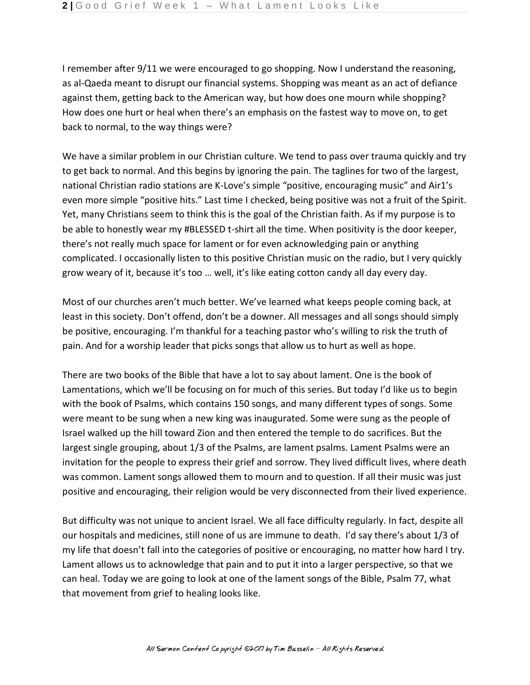I remember after 9/11 we were encouraged to go shopping. Now I understand the reasoning, as al-Qaeda meant to disrupt our financial systems. Shopping was meant as an act of defiance against them, getting back to the American way, but how does one mourn while shopping? How does one hurt or heal when there's an emphasis on the fastest way to move on, to get back to normal, to the way things were?

We have a similar problem in our Christian culture. We tend to pass over trauma quickly and try to get back to normal. And this begins by ignoring the pain. The taglines for two of the largest, national Christian radio stations are K-Love's simple "positive, encouraging music" and Air1's even more simple "positive hits." Last time I checked, being positive was not a fruit of the Spirit. Yet, many Christians seem to think this is the goal of the Christian faith. As if my purpose is to be able to honestly wear my #BLESSED t-shirt all the time. When positivity is the door keeper, there's not really much space for lament or for even acknowledging pain or anything complicated. I occasionally listen to this positive Christian music on the radio, but I very quickly grow weary of it, because it's too … well, it's like eating cotton candy all day every day.

Most of our churches aren't much better. We've learned what keeps people coming back, at least in this society. Don't offend, don't be a downer. All messages and all songs should simply be positive, encouraging. I'm thankful for a teaching pastor who's willing to risk the truth of pain. And for a worship leader that picks songs that allow us to hurt as well as hope.

There are two books of the Bible that have a lot to say about lament. One is the book of Lamentations, which we'll be focusing on for much of this series. But today I'd like us to begin with the book of Psalms, which contains 150 songs, and many different types of songs. Some were meant to be sung when a new king was inaugurated. Some were sung as the people of Israel walked up the hill toward Zion and then entered the temple to do sacrifices. But the largest single grouping, about 1/3 of the Psalms, are lament psalms. Lament Psalms were an invitation for the people to express their grief and sorrow. They lived difficult lives, where death was common. Lament songs allowed them to mourn and to question. If all their music was just positive and encouraging, their religion would be very disconnected from their lived experience.

But difficulty was not unique to ancient Israel. We all face difficulty regularly. In fact, despite all our hospitals and medicines, still none of us are immune to death. I'd say there's about 1/3 of my life that doesn't fall into the categories of positive or encouraging, no matter how hard I try. Lament allows us to acknowledge that pain and to put it into a larger perspective, so that we can heal. Today we are going to look at one of the lament songs of the Bible, Psalm 77, what that movement from grief to healing looks like.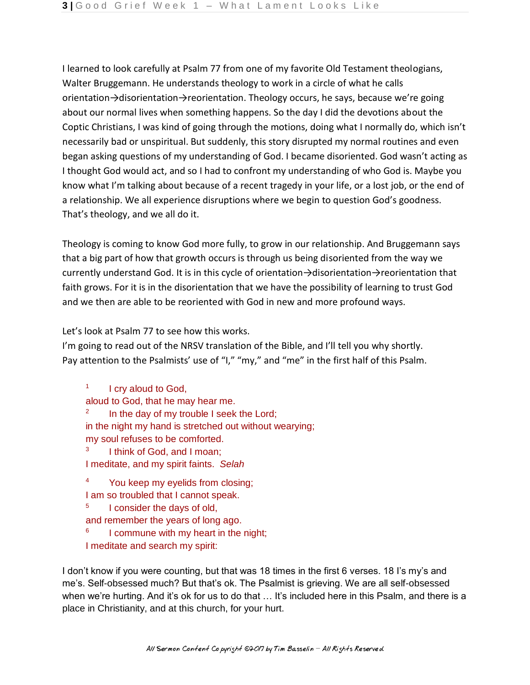I learned to look carefully at Psalm 77 from one of my favorite Old Testament theologians, Walter Bruggemann. He understands theology to work in a circle of what he calls orientation→disorientation→reorientation. Theology occurs, he says, because we're going about our normal lives when something happens. So the day I did the devotions about the Coptic Christians, I was kind of going through the motions, doing what I normally do, which isn't necessarily bad or unspiritual. But suddenly, this story disrupted my normal routines and even began asking questions of my understanding of God. I became disoriented. God wasn't acting as I thought God would act, and so I had to confront my understanding of who God is. Maybe you know what I'm talking about because of a recent tragedy in your life, or a lost job, or the end of a relationship. We all experience disruptions where we begin to question God's goodness. That's theology, and we all do it.

Theology is coming to know God more fully, to grow in our relationship. And Bruggemann says that a big part of how that growth occurs is through us being disoriented from the way we currently understand God. It is in this cycle of orientation→disorientation→reorientation that faith grows. For it is in the disorientation that we have the possibility of learning to trust God and we then are able to be reoriented with God in new and more profound ways.

Let's look at Psalm 77 to see how this works.

I'm going to read out of the NRSV translation of the Bible, and I'll tell you why shortly. Pay attention to the Psalmists' use of "I," "my," and "me" in the first half of this Psalm.

1 I cry aloud to God, aloud to God, that he may hear me. 2 In the day of my trouble I seek the Lord; in the night my hand is stretched out without wearying; my soul refuses to be comforted. 3 I think of God, and I moan; I meditate, and my spirit faints. *Selah* 4

You keep my eyelids from closing;

I am so troubled that I cannot speak. 5

 I consider the days of old, and remember the years of long ago.

6 I commune with my heart in the night;

I meditate and search my spirit:

I don't know if you were counting, but that was 18 times in the first 6 verses. 18 I's my's and me's. Self-obsessed much? But that's ok. The Psalmist is grieving. We are all self-obsessed when we're hurting. And it's ok for us to do that ... It's included here in this Psalm, and there is a place in Christianity, and at this church, for your hurt.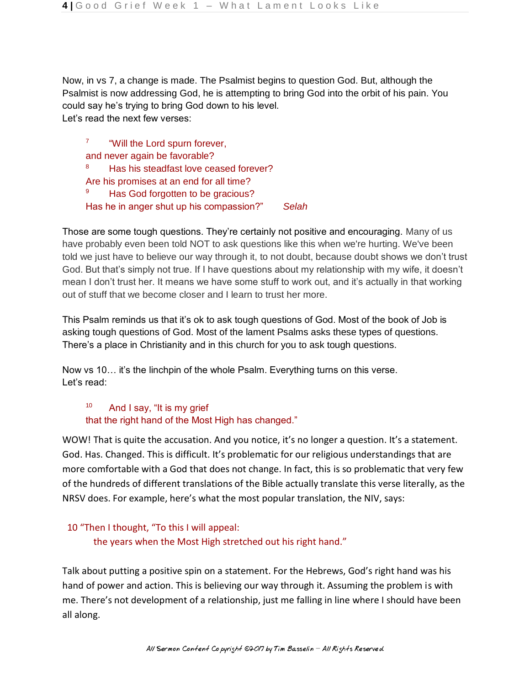Now, in vs 7, a change is made. The Psalmist begins to question God. But, although the Psalmist is now addressing God, he is attempting to bring God into the orbit of his pain. You could say he's trying to bring God down to his level. Let's read the next few verses:

7 "Will the Lord spurn forever, and never again be favorable? 8 Has his steadfast love ceased forever? Are his promises at an end for all time? 9 Has God forgotten to be gracious? Has he in anger shut up his compassion?" *Selah*

Those are some tough questions. They're certainly not positive and encouraging. Many of us have probably even been told NOT to ask questions like this when we're hurting. We've been told we just have to believe our way through it, to not doubt, because doubt shows we don't trust God. But that's simply not true. If I have questions about my relationship with my wife, it doesn't mean I don't trust her. It means we have some stuff to work out, and it's actually in that working out of stuff that we become closer and I learn to trust her more.

This Psalm reminds us that it's ok to ask tough questions of God. Most of the book of Job is asking tough questions of God. Most of the lament Psalms asks these types of questions. There's a place in Christianity and in this church for you to ask tough questions.

Now vs 10… it's the linchpin of the whole Psalm. Everything turns on this verse. Let's read:

10 And I say, "It is my grief that the right hand of the Most High has changed."

WOW! That is quite the accusation. And you notice, it's no longer a question. It's a statement. God. Has. Changed. This is difficult. It's problematic for our religious understandings that are more comfortable with a God that does not change. In fact, this is so problematic that very few of the hundreds of different translations of the Bible actually translate this verse literally, as the NRSV does. For example, here's what the most popular translation, the NIV, says:

# 10 "Then I thought, "To this I will appeal:

the years when the Most High stretched out his right hand."

Talk about putting a positive spin on a statement. For the Hebrews, God's right hand was his hand of power and action. This is believing our way through it. Assuming the problem is with me. There's not development of a relationship, just me falling in line where I should have been all along.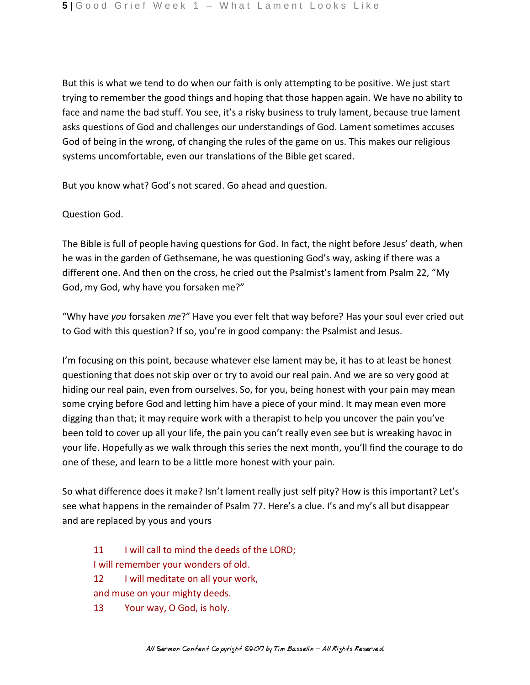But this is what we tend to do when our faith is only attempting to be positive. We just start trying to remember the good things and hoping that those happen again. We have no ability to face and name the bad stuff. You see, it's a risky business to truly lament, because true lament asks questions of God and challenges our understandings of God. Lament sometimes accuses God of being in the wrong, of changing the rules of the game on us. This makes our religious systems uncomfortable, even our translations of the Bible get scared.

But you know what? God's not scared. Go ahead and question.

## Question God.

The Bible is full of people having questions for God. In fact, the night before Jesus' death, when he was in the garden of Gethsemane, he was questioning God's way, asking if there was a different one. And then on the cross, he cried out the Psalmist's lament from Psalm 22, "My God, my God, why have you forsaken me?"

"Why have *you* forsaken *me*?" Have you ever felt that way before? Has your soul ever cried out to God with this question? If so, you're in good company: the Psalmist and Jesus.

I'm focusing on this point, because whatever else lament may be, it has to at least be honest questioning that does not skip over or try to avoid our real pain. And we are so very good at hiding our real pain, even from ourselves. So, for you, being honest with your pain may mean some crying before God and letting him have a piece of your mind. It may mean even more digging than that; it may require work with a therapist to help you uncover the pain you've been told to cover up all your life, the pain you can't really even see but is wreaking havoc in your life. Hopefully as we walk through this series the next month, you'll find the courage to do one of these, and learn to be a little more honest with your pain.

So what difference does it make? Isn't lament really just self pity? How is this important? Let's see what happens in the remainder of Psalm 77. Here's a clue. I's and my's all but disappear and are replaced by yous and yours

- 11 I will call to mind the deeds of the LORD; I will remember your wonders of old. 12 I will meditate on all your work, and muse on your mighty deeds.
- 13 Your way, O God, is holy.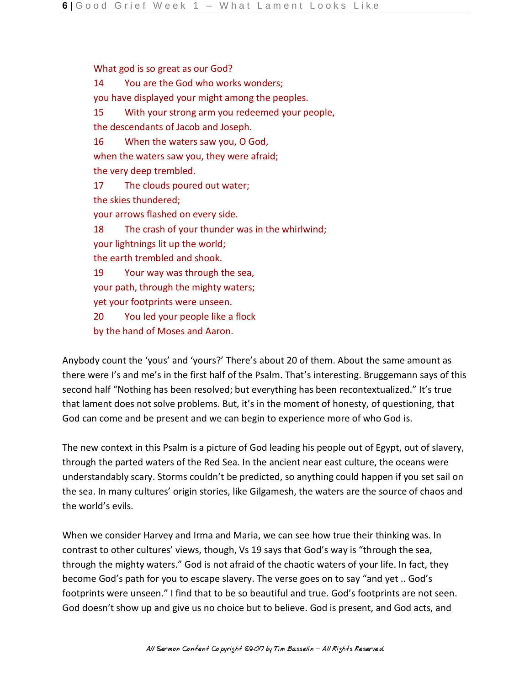What god is so great as our God? 14 You are the God who works wonders; you have displayed your might among the peoples. 15 With your strong arm you redeemed your people, the descendants of Jacob and Joseph. 16 When the waters saw you, O God, when the waters saw you, they were afraid; the very deep trembled. 17 The clouds poured out water; the skies thundered; your arrows flashed on every side. 18 The crash of your thunder was in the whirlwind; your lightnings lit up the world; the earth trembled and shook. 19 Your way was through the sea, your path, through the mighty waters; yet your footprints were unseen. 20 You led your people like a flock by the hand of Moses and Aaron.

Anybody count the 'yous' and 'yours?' There's about 20 of them. About the same amount as there were I's and me's in the first half of the Psalm. That's interesting. Bruggemann says of this second half "Nothing has been resolved; but everything has been recontextualized." It's true that lament does not solve problems. But, it's in the moment of honesty, of questioning, that God can come and be present and we can begin to experience more of who God is.

The new context in this Psalm is a picture of God leading his people out of Egypt, out of slavery, through the parted waters of the Red Sea. In the ancient near east culture, the oceans were understandably scary. Storms couldn't be predicted, so anything could happen if you set sail on the sea. In many cultures' origin stories, like Gilgamesh, the waters are the source of chaos and the world's evils.

When we consider Harvey and Irma and Maria, we can see how true their thinking was. In contrast to other cultures' views, though, Vs 19 says that God's way is "through the sea, through the mighty waters." God is not afraid of the chaotic waters of your life. In fact, they become God's path for you to escape slavery. The verse goes on to say "and yet .. God's footprints were unseen." I find that to be so beautiful and true. God's footprints are not seen. God doesn't show up and give us no choice but to believe. God is present, and God acts, and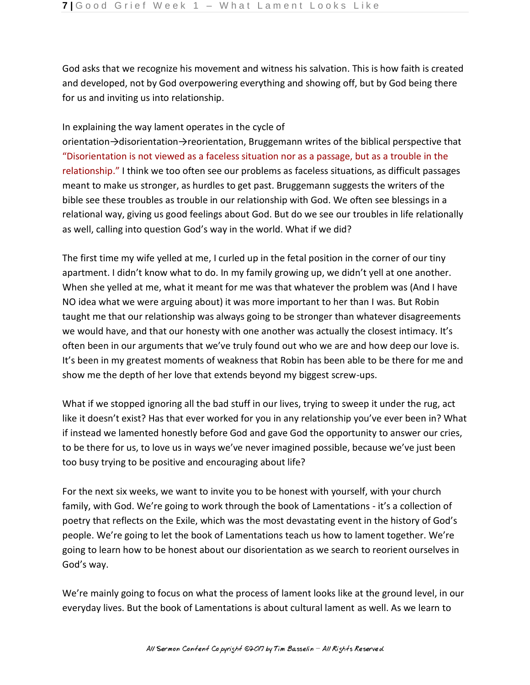God asks that we recognize his movement and witness his salvation. This is how faith is created and developed, not by God overpowering everything and showing off, but by God being there for us and inviting us into relationship.

### In explaining the way lament operates in the cycle of

orientation→disorientation→reorientation, Bruggemann writes of the biblical perspective that "Disorientation is not viewed as a faceless situation nor as a passage, but as a trouble in the relationship." I think we too often see our problems as faceless situations, as difficult passages meant to make us stronger, as hurdles to get past. Bruggemann suggests the writers of the bible see these troubles as trouble in our relationship with God. We often see blessings in a relational way, giving us good feelings about God. But do we see our troubles in life relationally as well, calling into question God's way in the world. What if we did?

The first time my wife yelled at me, I curled up in the fetal position in the corner of our tiny apartment. I didn't know what to do. In my family growing up, we didn't yell at one another. When she yelled at me, what it meant for me was that whatever the problem was (And I have NO idea what we were arguing about) it was more important to her than I was. But Robin taught me that our relationship was always going to be stronger than whatever disagreements we would have, and that our honesty with one another was actually the closest intimacy. It's often been in our arguments that we've truly found out who we are and how deep our love is. It's been in my greatest moments of weakness that Robin has been able to be there for me and show me the depth of her love that extends beyond my biggest screw-ups.

What if we stopped ignoring all the bad stuff in our lives, trying to sweep it under the rug, act like it doesn't exist? Has that ever worked for you in any relationship you've ever been in? What if instead we lamented honestly before God and gave God the opportunity to answer our cries, to be there for us, to love us in ways we've never imagined possible, because we've just been too busy trying to be positive and encouraging about life?

For the next six weeks, we want to invite you to be honest with yourself, with your church family, with God. We're going to work through the book of Lamentations - it's a collection of poetry that reflects on the Exile, which was the most devastating event in the history of God's people. We're going to let the book of Lamentations teach us how to lament together. We're going to learn how to be honest about our disorientation as we search to reorient ourselves in God's way.

We're mainly going to focus on what the process of lament looks like at the ground level, in our everyday lives. But the book of Lamentations is about cultural lament as well. As we learn to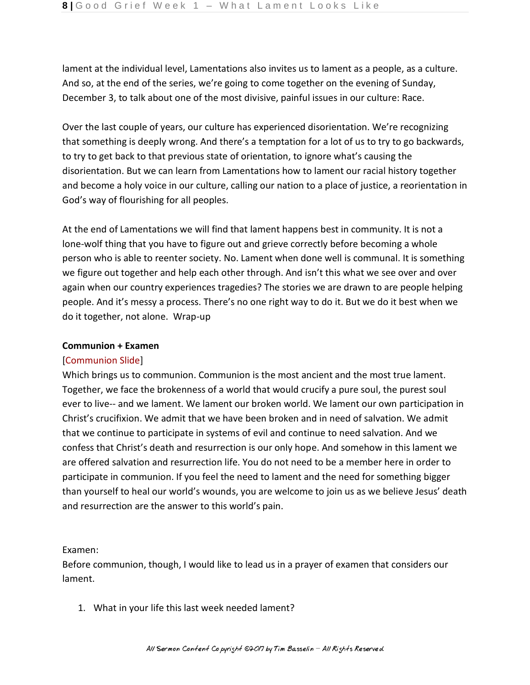lament at the individual level, Lamentations also invites us to lament as a people, as a culture. And so, at the end of the series, we're going to come together on the evening of Sunday, December 3, to talk about one of the most divisive, painful issues in our culture: Race.

Over the last couple of years, our culture has experienced disorientation. We're recognizing that something is deeply wrong. And there's a temptation for a lot of us to try to go backwards, to try to get back to that previous state of orientation, to ignore what's causing the disorientation. But we can learn from Lamentations how to lament our racial history together and become a holy voice in our culture, calling our nation to a place of justice, a reorientation in God's way of flourishing for all peoples.

At the end of Lamentations we will find that lament happens best in community. It is not a lone-wolf thing that you have to figure out and grieve correctly before becoming a whole person who is able to reenter society. No. Lament when done well is communal. It is something we figure out together and help each other through. And isn't this what we see over and over again when our country experiences tragedies? The stories we are drawn to are people helping people. And it's messy a process. There's no one right way to do it. But we do it best when we do it together, not alone. Wrap-up

### **Communion + Examen**

## [Communion Slide]

Which brings us to communion. Communion is the most ancient and the most true lament. Together, we face the brokenness of a world that would crucify a pure soul, the purest soul ever to live-- and we lament. We lament our broken world. We lament our own participation in Christ's crucifixion. We admit that we have been broken and in need of salvation. We admit that we continue to participate in systems of evil and continue to need salvation. And we confess that Christ's death and resurrection is our only hope. And somehow in this lament we are offered salvation and resurrection life. You do not need to be a member here in order to participate in communion. If you feel the need to lament and the need for something bigger than yourself to heal our world's wounds, you are welcome to join us as we believe Jesus' death and resurrection are the answer to this world's pain.

## Examen:

Before communion, though, I would like to lead us in a prayer of examen that considers our lament.

1. What in your life this last week needed lament?